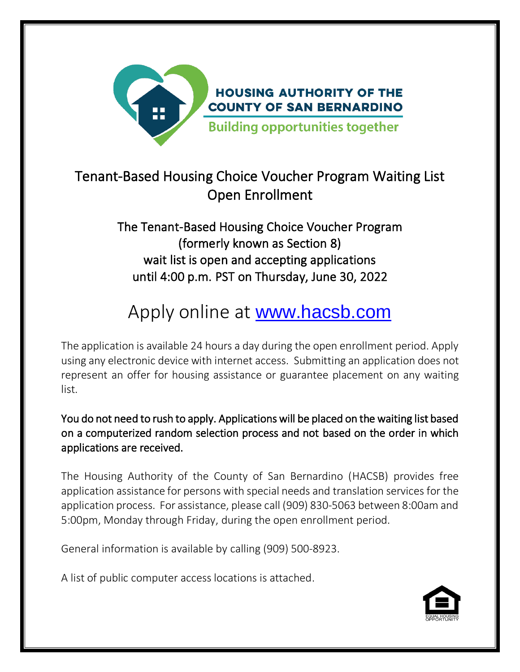

### Tenant-Based Housing Choice Voucher Program Waiting List Open Enrollment

#### The Tenant-Based Housing Choice Voucher Program (formerly known as Section 8) wait list is open and accepting applications until 4:00 p.m. PST on Thursday, June 30, 2022

# Apply online at [www.hacsb.com](http://www.hacsb.com/)

The application is available 24 hours a day during the open enrollment period. Apply using any electronic device with internet access. Submitting an application does not represent an offer for housing assistance or guarantee placement on any waiting list.

You do not need to rush to apply. Applications will be placed on the waiting list based on a computerized random selection process and not based on the order in which applications are received.

The Housing Authority of the County of San Bernardino (HACSB) provides free application assistance for persons with special needs and translation services for the application process. For assistance, please call (909) 830-5063 between 8:00am and 5:00pm, Monday through Friday, during the open enrollment period.

General information is available by calling (909) 500-8923.

A list of public computer access locations is attached.

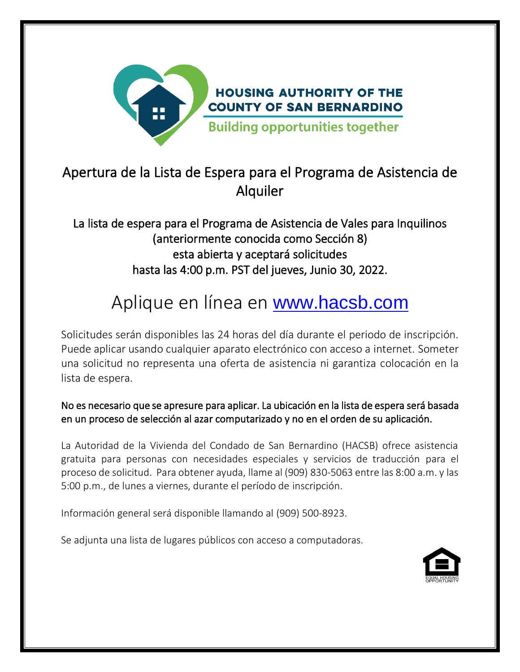

#### Apertura de la Lista de Espera para el Programa de Asistencia de Alquiler

La lista de espera para el Programa de Asistencia de Vales para Inquilinos (anteriormente conocida como Sección 8) esta abierta y aceptará solicitudes hasta las 4:00 p.m. PST del jueves, Junio 30, 2022.

## Aplique en línea en **[www.hacsb.com](http://www.hacsb.com/)**

Solicitudes serán disponibles las 24 horas del día durante el periodo de inscripción. Puede aplicar usando cualquier aparato electrónico con acceso a internet. Someter una solicitud no representa una oferta de asistencia ni garantiza colocación en la lista de espera.

No es necesario que se apresure para aplicar. La ubicación en la lista de espera será basada en un proceso de selección al azar computarizado y no en el orden de su aplicación.

La Autoridad de la Vivienda del Condado de San Bernardino (HACSB) ofrece asistencia gratuita para personas con necesidades especiales y servicios de traducción para el proceso de solicitud. Para obtener ayuda, llame al (909) 830-5063 entre las 8:00 a.m. y las 5:00 p.m., de lunes a viernes, durante el período de inscripción.

Información general será disponible llamando al (909) 500-8923.

Se adjunta una lista de lugares públicos con acceso a computadoras.

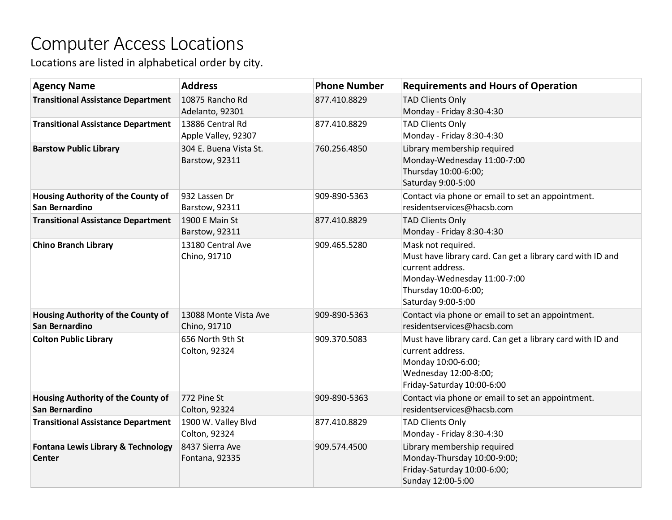### Computer Access Locations

Locations are listed in alphabetical order by city.

| <b>Agency Name</b>                                   | <b>Address</b>                           | <b>Phone Number</b> | <b>Requirements and Hours of Operation</b>                                                                                                                                        |
|------------------------------------------------------|------------------------------------------|---------------------|-----------------------------------------------------------------------------------------------------------------------------------------------------------------------------------|
| <b>Transitional Assistance Department</b>            | 10875 Rancho Rd<br>Adelanto, 92301       | 877.410.8829        | <b>TAD Clients Only</b><br>Monday - Friday 8:30-4:30                                                                                                                              |
| <b>Transitional Assistance Department</b>            | 13886 Central Rd<br>Apple Valley, 92307  | 877.410.8829        | <b>TAD Clients Only</b><br>Monday - Friday 8:30-4:30                                                                                                                              |
| <b>Barstow Public Library</b>                        | 304 E. Buena Vista St.<br>Barstow, 92311 | 760.256.4850        | Library membership required<br>Monday-Wednesday 11:00-7:00<br>Thursday 10:00-6:00;<br>Saturday 9:00-5:00                                                                          |
| Housing Authority of the County of<br>San Bernardino | 932 Lassen Dr<br>Barstow, 92311          | 909-890-5363        | Contact via phone or email to set an appointment.<br>residentservices@hacsb.com                                                                                                   |
| <b>Transitional Assistance Department</b>            | 1900 E Main St<br>Barstow, 92311         | 877.410.8829        | <b>TAD Clients Only</b><br>Monday - Friday 8:30-4:30                                                                                                                              |
| <b>Chino Branch Library</b>                          | 13180 Central Ave<br>Chino, 91710        | 909.465.5280        | Mask not required.<br>Must have library card. Can get a library card with ID and<br>current address.<br>Monday-Wednesday 11:00-7:00<br>Thursday 10:00-6:00;<br>Saturday 9:00-5:00 |
| Housing Authority of the County of<br>San Bernardino | 13088 Monte Vista Ave<br>Chino, 91710    | 909-890-5363        | Contact via phone or email to set an appointment.<br>residentservices@hacsb.com                                                                                                   |
| <b>Colton Public Library</b>                         | 656 North 9th St<br>Colton, 92324        | 909.370.5083        | Must have library card. Can get a library card with ID and<br>current address.<br>Monday 10:00-6:00;<br>Wednesday 12:00-8:00;<br>Friday-Saturday 10:00-6:00                       |
| Housing Authority of the County of<br>San Bernardino | 772 Pine St<br>Colton, 92324             | 909-890-5363        | Contact via phone or email to set an appointment.<br>residentservices@hacsb.com                                                                                                   |
| <b>Transitional Assistance Department</b>            | 1900 W. Valley Blvd<br>Colton, 92324     | 877.410.8829        | <b>TAD Clients Only</b><br>Monday - Friday 8:30-4:30                                                                                                                              |
| Fontana Lewis Library & Technology<br>Center         | 8437 Sierra Ave<br>Fontana, 92335        | 909.574.4500        | Library membership required<br>Monday-Thursday 10:00-9:00;<br>Friday-Saturday 10:00-6:00;<br>Sunday 12:00-5:00                                                                    |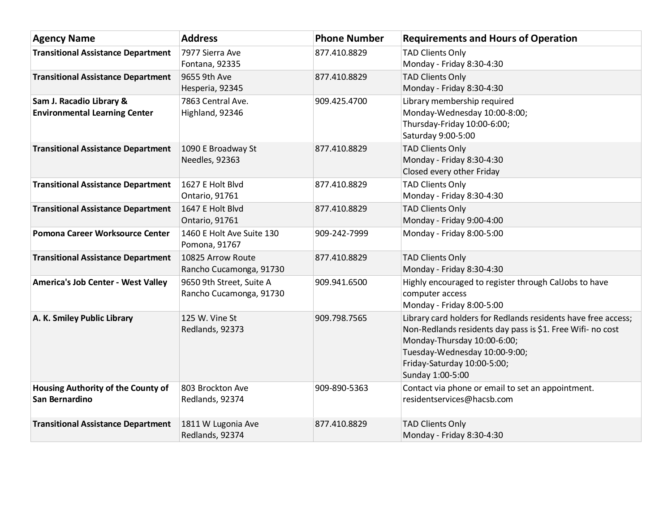| <b>Agency Name</b>                                               | <b>Address</b>                                      | <b>Phone Number</b> | <b>Requirements and Hours of Operation</b>                                                                                                                                                                                                     |
|------------------------------------------------------------------|-----------------------------------------------------|---------------------|------------------------------------------------------------------------------------------------------------------------------------------------------------------------------------------------------------------------------------------------|
| <b>Transitional Assistance Department</b>                        | 7977 Sierra Ave<br>Fontana, 92335                   | 877.410.8829        | <b>TAD Clients Only</b><br>Monday - Friday 8:30-4:30                                                                                                                                                                                           |
| <b>Transitional Assistance Department</b>                        | 9655 9th Ave<br>Hesperia, 92345                     | 877.410.8829        | <b>TAD Clients Only</b><br>Monday - Friday 8:30-4:30                                                                                                                                                                                           |
| Sam J. Racadio Library &<br><b>Environmental Learning Center</b> | 7863 Central Ave.<br>Highland, 92346                | 909.425.4700        | Library membership required<br>Monday-Wednesday 10:00-8:00;<br>Thursday-Friday 10:00-6:00;<br>Saturday 9:00-5:00                                                                                                                               |
| <b>Transitional Assistance Department</b>                        | 1090 E Broadway St<br>Needles, 92363                | 877.410.8829        | <b>TAD Clients Only</b><br>Monday - Friday 8:30-4:30<br>Closed every other Friday                                                                                                                                                              |
| <b>Transitional Assistance Department</b>                        | 1627 E Holt Blvd<br>Ontario, 91761                  | 877.410.8829        | <b>TAD Clients Only</b><br>Monday - Friday 8:30-4:30                                                                                                                                                                                           |
| <b>Transitional Assistance Department</b>                        | 1647 E Holt Blvd<br>Ontario, 91761                  | 877.410.8829        | <b>TAD Clients Only</b><br>Monday - Friday 9:00-4:00                                                                                                                                                                                           |
| Pomona Career Worksource Center                                  | 1460 E Holt Ave Suite 130<br>Pomona, 91767          | 909-242-7999        | Monday - Friday 8:00-5:00                                                                                                                                                                                                                      |
| <b>Transitional Assistance Department</b>                        | 10825 Arrow Route<br>Rancho Cucamonga, 91730        | 877.410.8829        | <b>TAD Clients Only</b><br>Monday - Friday 8:30-4:30                                                                                                                                                                                           |
| America's Job Center - West Valley                               | 9650 9th Street, Suite A<br>Rancho Cucamonga, 91730 | 909.941.6500        | Highly encouraged to register through CalJobs to have<br>computer access<br>Monday - Friday 8:00-5:00                                                                                                                                          |
| A. K. Smiley Public Library                                      | 125 W. Vine St<br>Redlands, 92373                   | 909.798.7565        | Library card holders for Redlands residents have free access;<br>Non-Redlands residents day pass is \$1. Free Wifi- no cost<br>Monday-Thursday 10:00-6:00;<br>Tuesday-Wednesday 10:00-9:00;<br>Friday-Saturday 10:00-5:00;<br>Sunday 1:00-5:00 |
| Housing Authority of the County of<br>San Bernardino             | 803 Brockton Ave<br>Redlands, 92374                 | 909-890-5363        | Contact via phone or email to set an appointment.<br>residentservices@hacsb.com                                                                                                                                                                |
| <b>Transitional Assistance Department</b>                        | 1811 W Lugonia Ave<br>Redlands, 92374               | 877.410.8829        | <b>TAD Clients Only</b><br>Monday - Friday 8:30-4:30                                                                                                                                                                                           |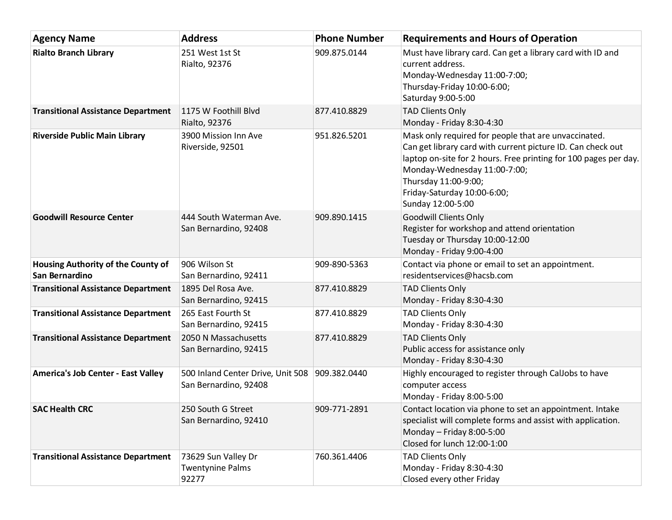| <b>Agency Name</b>                                   | <b>Address</b>                                                          | <b>Phone Number</b> | <b>Requirements and Hours of Operation</b>                                                                                                                                                                                                                                                          |
|------------------------------------------------------|-------------------------------------------------------------------------|---------------------|-----------------------------------------------------------------------------------------------------------------------------------------------------------------------------------------------------------------------------------------------------------------------------------------------------|
| <b>Rialto Branch Library</b>                         | 251 West 1st St<br>Rialto, 92376                                        | 909.875.0144        | Must have library card. Can get a library card with ID and<br>current address.<br>Monday-Wednesday 11:00-7:00;<br>Thursday-Friday 10:00-6:00;<br>Saturday 9:00-5:00                                                                                                                                 |
| <b>Transitional Assistance Department</b>            | 1175 W Foothill Blvd<br>Rialto, 92376                                   | 877.410.8829        | <b>TAD Clients Only</b><br>Monday - Friday 8:30-4:30                                                                                                                                                                                                                                                |
| <b>Riverside Public Main Library</b>                 | 3900 Mission Inn Ave<br>Riverside, 92501                                | 951.826.5201        | Mask only required for people that are unvaccinated.<br>Can get library card with current picture ID. Can check out<br>laptop on-site for 2 hours. Free printing for 100 pages per day.<br>Monday-Wednesday 11:00-7:00;<br>Thursday 11:00-9:00;<br>Friday-Saturday 10:00-6:00;<br>Sunday 12:00-5:00 |
| <b>Goodwill Resource Center</b>                      | 444 South Waterman Ave.<br>San Bernardino, 92408                        | 909.890.1415        | <b>Goodwill Clients Only</b><br>Register for workshop and attend orientation<br>Tuesday or Thursday 10:00-12:00<br>Monday - Friday 9:00-4:00                                                                                                                                                        |
| Housing Authority of the County of<br>San Bernardino | 906 Wilson St<br>San Bernardino, 92411                                  | 909-890-5363        | Contact via phone or email to set an appointment.<br>residentservices@hacsb.com                                                                                                                                                                                                                     |
| <b>Transitional Assistance Department</b>            | 1895 Del Rosa Ave.<br>San Bernardino, 92415                             | 877.410.8829        | <b>TAD Clients Only</b><br>Monday - Friday 8:30-4:30                                                                                                                                                                                                                                                |
| <b>Transitional Assistance Department</b>            | 265 East Fourth St<br>San Bernardino, 92415                             | 877.410.8829        | <b>TAD Clients Only</b><br>Monday - Friday 8:30-4:30                                                                                                                                                                                                                                                |
| <b>Transitional Assistance Department</b>            | 2050 N Massachusetts<br>San Bernardino, 92415                           | 877.410.8829        | <b>TAD Clients Only</b><br>Public access for assistance only<br>Monday - Friday 8:30-4:30                                                                                                                                                                                                           |
| America's Job Center - East Valley                   | 500 Inland Center Drive, Unit 508 909.382.0440<br>San Bernardino, 92408 |                     | Highly encouraged to register through CalJobs to have<br>computer access<br>Monday - Friday 8:00-5:00                                                                                                                                                                                               |
| <b>SAC Health CRC</b>                                | 250 South G Street<br>San Bernardino, 92410                             | 909-771-2891        | Contact location via phone to set an appointment. Intake<br>specialist will complete forms and assist with application.<br>Monday $-$ Friday 8:00-5:00<br>Closed for lunch 12:00-1:00                                                                                                               |
| <b>Transitional Assistance Department</b>            | 73629 Sun Valley Dr<br><b>Twentynine Palms</b><br>92277                 | 760.361.4406        | <b>TAD Clients Only</b><br>Monday - Friday 8:30-4:30<br>Closed every other Friday                                                                                                                                                                                                                   |